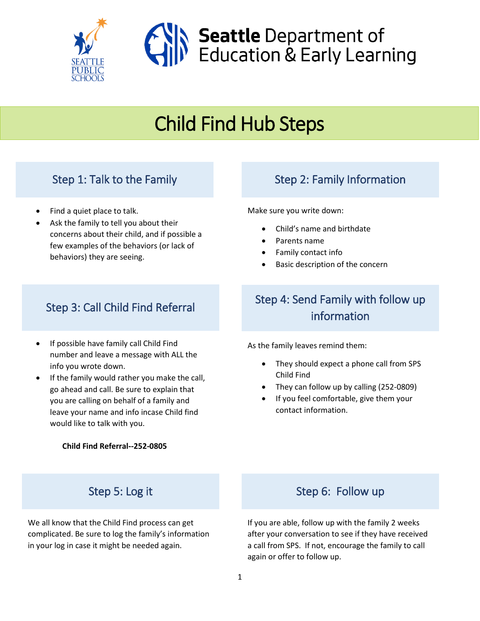

# Child Find Hub Steps

### Step 1: Talk to the Family

- Find a quiet place to talk.
- Ask the family to tell you about their concerns about their child, and if possible a few examples of the behaviors (or lack of behaviors) they are seeing.

## Step 3: Call Child Find Referral

- If possible have family call Child Find number and leave a message with ALL the info you wrote down.
- If the family would rather you make the call, go ahead and call. Be sure to explain that you are calling on behalf of a family and leave your name and info incase Child find would like to talk with you.

**Child Find Referral--252-0805**

### Step 2: Family Information

Make sure you write down:

- Child's name and birthdate
- Parents name
- Family contact info
- Basic description of the concern

## Step 4: Send Family with follow up information

As the family leaves remind them:

- They should expect a phone call from SPS Child Find
- They can follow up by calling (252-0809)
- If you feel comfortable, give them your contact information.

### Step 5: Log it

We all know that the Child Find process can get complicated. Be sure to log the family's information in your log in case it might be needed again.

### Step 6: Follow up

If you are able, follow up with the family 2 weeks after your conversation to see if they have received a call from SPS. If not, encourage the family to call again or offer to follow up.